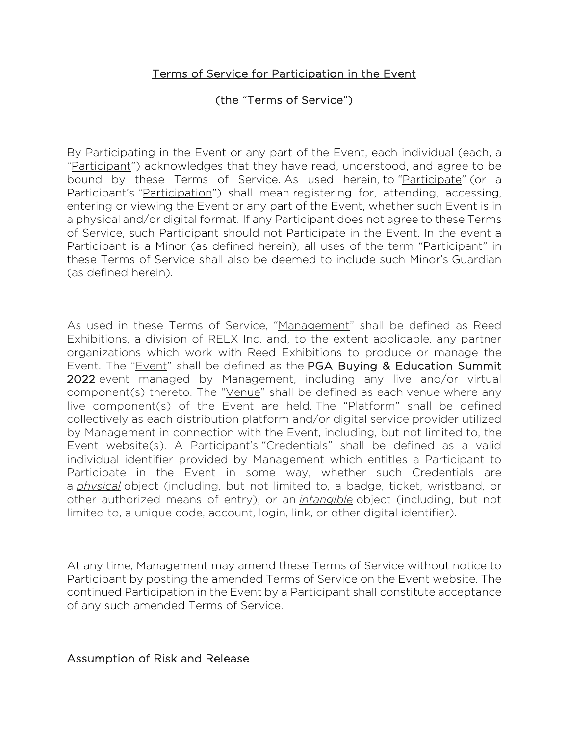## Terms of Service for Participation in the Event

## (the "Terms of Service")

By Participating in the Event or any part of the Event, each individual (each, a "Participant") acknowledges that they have read, understood, and agree to be bound by these Terms of Service. As used herein, to "Participate" (or a Participant's "Participation") shall mean registering for, attending, accessing, entering or viewing the Event or any part of the Event, whether such Event is in a physical and/or digital format. If any Participant does not agree to these Terms of Service, such Participant should not Participate in the Event. In the event a Participant is a Minor (as defined herein), all uses of the term "Participant" in these Terms of Service shall also be deemed to include such Minor's Guardian (as defined herein).

As used in these Terms of Service, "Management" shall be defined as Reed Exhibitions, a division of RELX Inc. and, to the extent applicable, any partner organizations which work with Reed Exhibitions to produce or manage the Event. The "Event" shall be defined as the PGA Buying & Education Summit 2022 event managed by Management, including any live and/or virtual component(s) thereto. The "Venue" shall be defined as each venue where any live component(s) of the Event are held. The "Platform" shall be defined collectively as each distribution platform and/or digital service provider utilized by Management in connection with the Event, including, but not limited to, the Event website(s). A Participant's "Credentials" shall be defined as a valid individual identifier provided by Management which entitles a Participant to Participate in the Event in some way, whether such Credentials are a *physical* object (including, but not limited to, a badge, ticket, wristband, or other authorized means of entry), or an *intangible* object (including, but not limited to, a unique code, account, login, link, or other digital identifier).

At any time, Management may amend these Terms of Service without notice to Participant by posting the amended Terms of Service on the Event website. The continued Participation in the Event by a Participant shall constitute acceptance of any such amended Terms of Service.

### Assumption of Risk and Release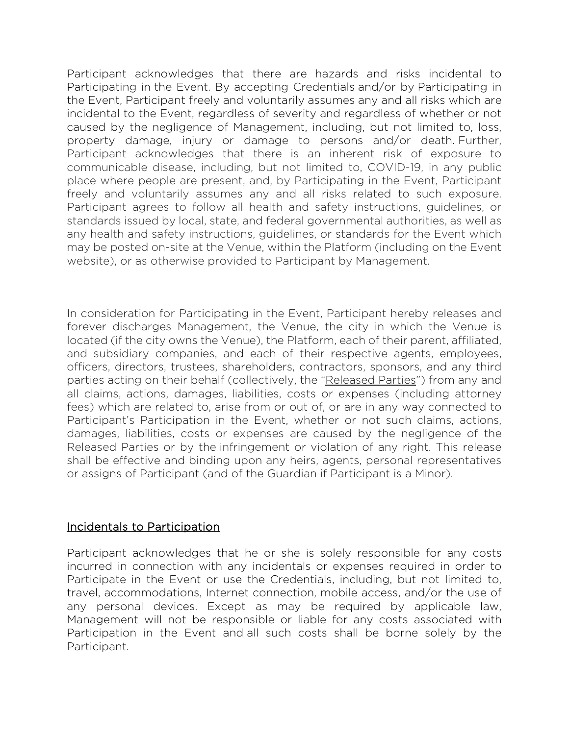Participant acknowledges that there are hazards and risks incidental to Participating in the Event. By accepting Credentials and/or by Participating in the Event, Participant freely and voluntarily assumes any and all risks which are incidental to the Event, regardless of severity and regardless of whether or not caused by the negligence of Management, including, but not limited to, loss, property damage, injury or damage to persons and/or death. Further, Participant acknowledges that there is an inherent risk of exposure to communicable disease, including, but not limited to, COVID-19, in any public place where people are present, and, by Participating in the Event, Participant freely and voluntarily assumes any and all risks related to such exposure. Participant agrees to follow all health and safety instructions, guidelines, or standards issued by local, state, and federal governmental authorities, as well as any health and safety instructions, guidelines, or standards for the Event which may be posted on-site at the Venue, within the Platform (including on the Event website), or as otherwise provided to Participant by Management.

In consideration for Participating in the Event, Participant hereby releases and forever discharges Management, the Venue, the city in which the Venue is located (if the city owns the Venue), the Platform, each of their parent, affiliated, and subsidiary companies, and each of their respective agents, employees, officers, directors, trustees, shareholders, contractors, sponsors, and any third parties acting on their behalf (collectively, the "Released Parties") from any and all claims, actions, damages, liabilities, costs or expenses (including attorney fees) which are related to, arise from or out of, or are in any way connected to Participant's Participation in the Event, whether or not such claims, actions, damages, liabilities, costs or expenses are caused by the negligence of the Released Parties or by the infringement or violation of any right. This release shall be effective and binding upon any heirs, agents, personal representatives or assigns of Participant (and of the Guardian if Participant is a Minor).

### Incidentals to Participation

Participant acknowledges that he or she is solely responsible for any costs incurred in connection with any incidentals or expenses required in order to Participate in the Event or use the Credentials, including, but not limited to, travel, accommodations, Internet connection, mobile access, and/or the use of any personal devices. Except as may be required by applicable law, Management will not be responsible or liable for any costs associated with Participation in the Event and all such costs shall be borne solely by the Participant.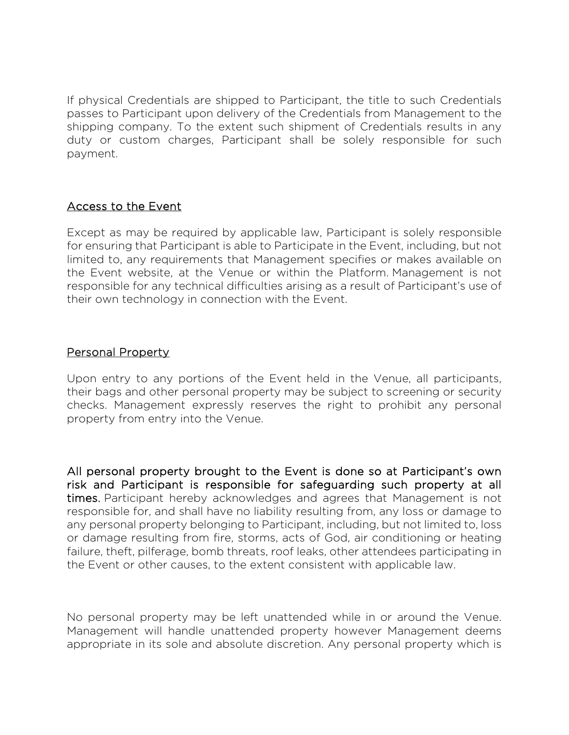If physical Credentials are shipped to Participant, the title to such Credentials passes to Participant upon delivery of the Credentials from Management to the shipping company. To the extent such shipment of Credentials results in any duty or custom charges, Participant shall be solely responsible for such payment.

### Access to the Event

Except as may be required by applicable law, Participant is solely responsible for ensuring that Participant is able to Participate in the Event, including, but not limited to, any requirements that Management specifies or makes available on the Event website, at the Venue or within the Platform. Management is not responsible for any technical difficulties arising as a result of Participant's use of their own technology in connection with the Event.

### Personal Property

Upon entry to any portions of the Event held in the Venue, all participants, their bags and other personal property may be subject to screening or security checks. Management expressly reserves the right to prohibit any personal property from entry into the Venue.

All personal property brought to the Event is done so at Participant's own risk and Participant is responsible for safeguarding such property at all times. Participant hereby acknowledges and agrees that Management is not responsible for, and shall have no liability resulting from, any loss or damage to any personal property belonging to Participant, including, but not limited to, loss or damage resulting from fire, storms, acts of God, air conditioning or heating failure, theft, pilferage, bomb threats, roof leaks, other attendees participating in the Event or other causes, to the extent consistent with applicable law.

No personal property may be left unattended while in or around the Venue. Management will handle unattended property however Management deems appropriate in its sole and absolute discretion. Any personal property which is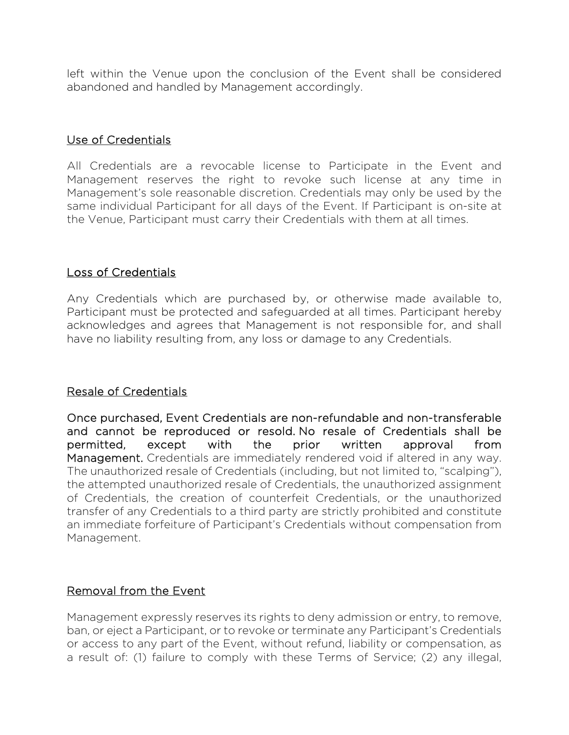left within the Venue upon the conclusion of the Event shall be considered abandoned and handled by Management accordingly.

## Use of Credentials

All Credentials are a revocable license to Participate in the Event and Management reserves the right to revoke such license at any time in Management's sole reasonable discretion. Credentials may only be used by the same individual Participant for all days of the Event. If Participant is on-site at the Venue, Participant must carry their Credentials with them at all times.

## Loss of Credentials

Any Credentials which are purchased by, or otherwise made available to, Participant must be protected and safeguarded at all times. Participant hereby acknowledges and agrees that Management is not responsible for, and shall have no liability resulting from, any loss or damage to any Credentials.

### Resale of Credentials

Once purchased, Event Credentials are non-refundable and non-transferable and cannot be reproduced or resold. No resale of Credentials shall be permitted, except with the prior written approval from Management. Credentials are immediately rendered void if altered in any way. The unauthorized resale of Credentials (including, but not limited to, "scalping"), the attempted unauthorized resale of Credentials, the unauthorized assignment of Credentials, the creation of counterfeit Credentials, or the unauthorized transfer of any Credentials to a third party are strictly prohibited and constitute an immediate forfeiture of Participant's Credentials without compensation from Management.

## Removal from the Event

Management expressly reserves its rights to deny admission or entry, to remove, ban, or eject a Participant, or to revoke or terminate any Participant's Credentials or access to any part of the Event, without refund, liability or compensation, as a result of: (1) failure to comply with these Terms of Service; (2) any illegal,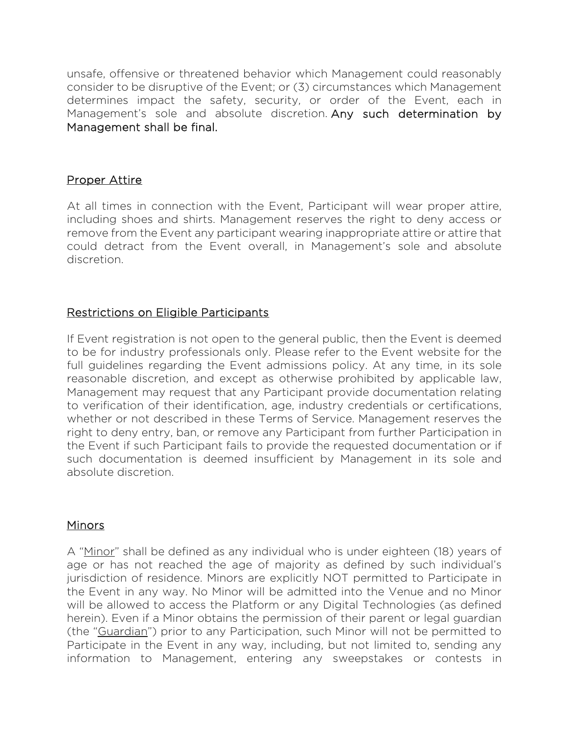unsafe, offensive or threatened behavior which Management could reasonably consider to be disruptive of the Event; or (3) circumstances which Management determines impact the safety, security, or order of the Event, each in Management's sole and absolute discretion. Any such determination by Management shall be final.

## Proper Attire

At all times in connection with the Event, Participant will wear proper attire, including shoes and shirts. Management reserves the right to deny access or remove from the Event any participant wearing inappropriate attire or attire that could detract from the Event overall, in Management's sole and absolute discretion.

### Restrictions on Eligible Participants

If Event registration is not open to the general public, then the Event is deemed to be for industry professionals only. Please refer to the Event website for the full guidelines regarding the Event admissions policy. At any time, in its sole reasonable discretion, and except as otherwise prohibited by applicable law, Management may request that any Participant provide documentation relating to verification of their identification, age, industry credentials or certifications, whether or not described in these Terms of Service. Management reserves the right to deny entry, ban, or remove any Participant from further Participation in the Event if such Participant fails to provide the requested documentation or if such documentation is deemed insufficient by Management in its sole and absolute discretion.

### Minors

A "Minor" shall be defined as any individual who is under eighteen (18) years of age or has not reached the age of majority as defined by such individual's jurisdiction of residence. Minors are explicitly NOT permitted to Participate in the Event in any way. No Minor will be admitted into the Venue and no Minor will be allowed to access the Platform or any Digital Technologies (as defined herein). Even if a Minor obtains the permission of their parent or legal guardian (the "Guardian") prior to any Participation, such Minor will not be permitted to Participate in the Event in any way, including, but not limited to, sending any information to Management, entering any sweepstakes or contests in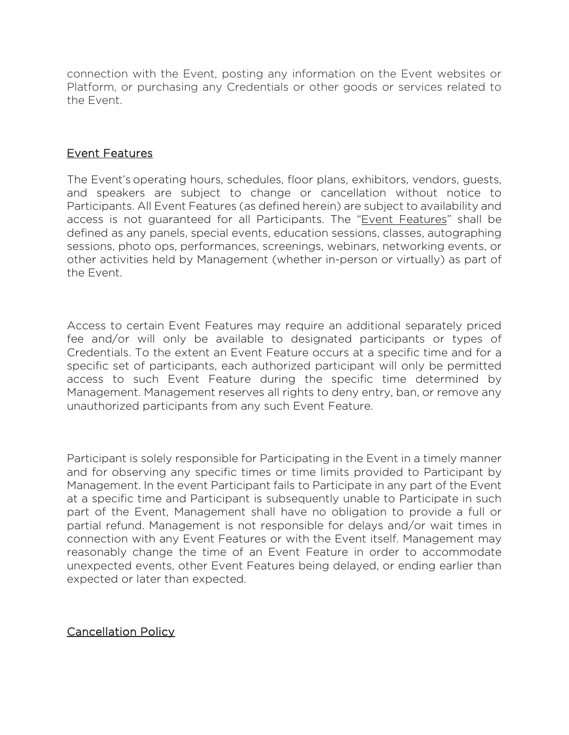connection with the Event, posting any information on the Event websites or Platform, or purchasing any Credentials or other goods or services related to the Event.

### Event Features

The Event's operating hours, schedules, floor plans, exhibitors, vendors, guests, and speakers are subject to change or cancellation without notice to Participants. All Event Features (as defined herein) are subject to availability and access is not guaranteed for all Participants. The "Event Features" shall be defined as any panels, special events, education sessions, classes, autographing sessions, photo ops, performances, screenings, webinars, networking events, or other activities held by Management (whether in-person or virtually) as part of the Event.

Access to certain Event Features may require an additional separately priced fee and/or will only be available to designated participants or types of Credentials. To the extent an Event Feature occurs at a specific time and for a specific set of participants, each authorized participant will only be permitted access to such Event Feature during the specific time determined by Management. Management reserves all rights to deny entry, ban, or remove any unauthorized participants from any such Event Feature.

Participant is solely responsible for Participating in the Event in a timely manner and for observing any specific times or time limits provided to Participant by Management. In the event Participant fails to Participate in any part of the Event at a specific time and Participant is subsequently unable to Participate in such part of the Event, Management shall have no obligation to provide a full or partial refund. Management is not responsible for delays and/or wait times in connection with any Event Features or with the Event itself. Management may reasonably change the time of an Event Feature in order to accommodate unexpected events, other Event Features being delayed, or ending earlier than expected or later than expected.

### Cancellation Policy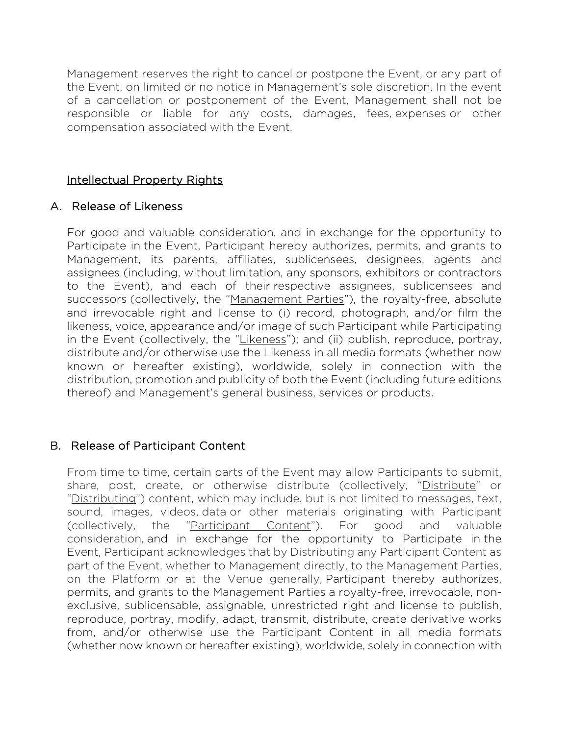Management reserves the right to cancel or postpone the Event, or any part of the Event, on limited or no notice in Management's sole discretion. In the event of a cancellation or postponement of the Event, Management shall not be responsible or liable for any costs, damages, fees, expenses or other compensation associated with the Event.

## Intellectual Property Rights

## A.Release of Likeness

For good and valuable consideration, and in exchange for the opportunity to Participate in the Event, Participant hereby authorizes, permits, and grants to Management, its parents, affiliates, sublicensees, designees, agents and assignees (including, without limitation, any sponsors, exhibitors or contractors to the Event), and each of their respective assignees, sublicensees and successors (collectively, the "Management Parties"), the royalty-free, absolute and irrevocable right and license to (i) record, photograph, and/or film the likeness, voice, appearance and/or image of such Participant while Participating in the Event (collectively, the "Likeness"); and (ii) publish, reproduce, portray, distribute and/or otherwise use the Likeness in all media formats (whether now known or hereafter existing), worldwide, solely in connection with the distribution, promotion and publicity of both the Event (including future editions thereof) and Management's general business, services or products.

## B.Release of Participant Content

From time to time, certain parts of the Event may allow Participants to submit, share, post, create, or otherwise distribute (collectively, "Distribute" or "Distributing") content, which may include, but is not limited to messages, text, sound, images, videos, data or other materials originating with Participant (collectively, the "Participant Content"). For good and valuable consideration, and in exchange for the opportunity to Participate in the Event, Participant acknowledges that by Distributing any Participant Content as part of the Event, whether to Management directly, to the Management Parties, on the Platform or at the Venue generally, Participant thereby authorizes, permits, and grants to the Management Parties a royalty-free, irrevocable, nonexclusive, sublicensable, assignable, unrestricted right and license to publish, reproduce, portray, modify, adapt, transmit, distribute, create derivative works from, and/or otherwise use the Participant Content in all media formats (whether now known or hereafter existing), worldwide, solely in connection with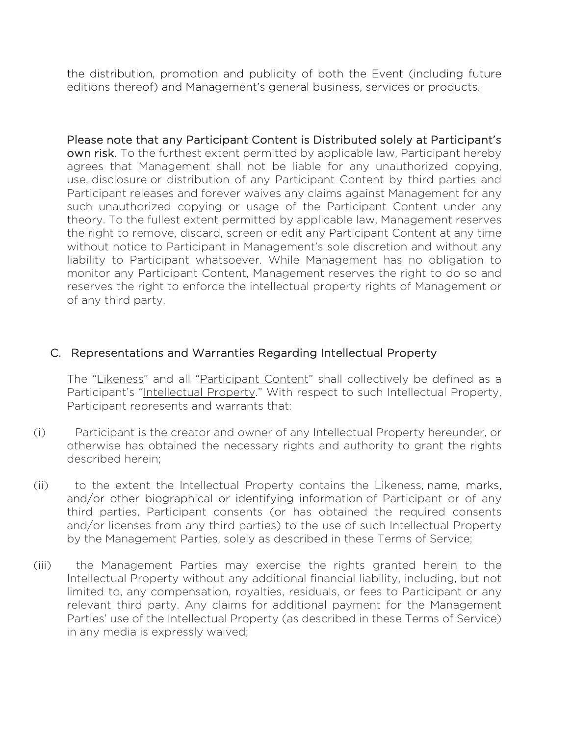the distribution, promotion and publicity of both the Event (including future editions thereof) and Management's general business, services or products.

Please note that any Participant Content is Distributed solely at Participant's own risk. To the furthest extent permitted by applicable law, Participant hereby agrees that Management shall not be liable for any unauthorized copying, use, disclosure or distribution of any Participant Content by third parties and Participant releases and forever waives any claims against Management for any such unauthorized copying or usage of the Participant Content under any theory. To the fullest extent permitted by applicable law, Management reserves the right to remove, discard, screen or edit any Participant Content at any time without notice to Participant in Management's sole discretion and without any liability to Participant whatsoever. While Management has no obligation to monitor any Participant Content, Management reserves the right to do so and reserves the right to enforce the intellectual property rights of Management or of any third party.

### C.Representations and Warranties Regarding Intellectual Property

The "Likeness" and all "Participant Content" shall collectively be defined as a Participant's "Intellectual Property." With respect to such Intellectual Property, Participant represents and warrants that:

- (i) Participant is the creator and owner of any Intellectual Property hereunder, or otherwise has obtained the necessary rights and authority to grant the rights described herein;
- (ii) to the extent the Intellectual Property contains the Likeness, name, marks, and/or other biographical or identifying information of Participant or of any third parties, Participant consents (or has obtained the required consents and/or licenses from any third parties) to the use of such Intellectual Property by the Management Parties, solely as described in these Terms of Service;
- (iii) the Management Parties may exercise the rights granted herein to the Intellectual Property without any additional financial liability, including, but not limited to, any compensation, royalties, residuals, or fees to Participant or any relevant third party. Any claims for additional payment for the Management Parties' use of the Intellectual Property (as described in these Terms of Service) in any media is expressly waived;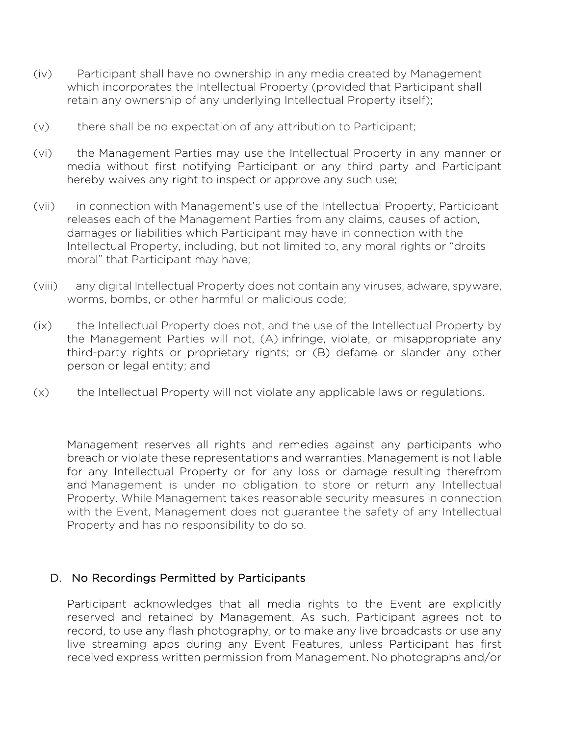- (iv) Participant shall have no ownership in any media created by Management which incorporates the Intellectual Property (provided that Participant shall retain any ownership of any underlying Intellectual Property itself);
- (v) there shall be no expectation of any attribution to Participant;
- (vi) the Management Parties may use the Intellectual Property in any manner or media without first notifying Participant or any third party and Participant hereby waives any right to inspect or approve any such use;
- (vii) in connection with Management's use of the Intellectual Property, Participant releases each of the Management Parties from any claims, causes of action, damages or liabilities which Participant may have in connection with the Intellectual Property, including, but not limited to, any moral rights or "droits moral" that Participant may have;
- (viii) any digital Intellectual Property does not contain any viruses, adware, spyware, worms, bombs, or other harmful or malicious code;
- (ix) the Intellectual Property does not, and the use of the Intellectual Property by the Management Parties will not, (A) infringe, violate, or misappropriate any third-party rights or proprietary rights; or (B) defame or slander any other person or legal entity; and
- (x) the Intellectual Property will not violate any applicable laws or regulations.

Management reserves all rights and remedies against any participants who breach or violate these representations and warranties. Management is not liable for any Intellectual Property or for any loss or damage resulting therefrom and Management is under no obligation to store or return any Intellectual Property. While Management takes reasonable security measures in connection with the Event, Management does not guarantee the safety of any Intellectual Property and has no responsibility to do so.

### D.No Recordings Permitted by Participants

Participant acknowledges that all media rights to the Event are explicitly reserved and retained by Management. As such, Participant agrees not to record, to use any flash photography, or to make any live broadcasts or use any live streaming apps during any Event Features, unless Participant has first received express written permission from Management. No photographs and/or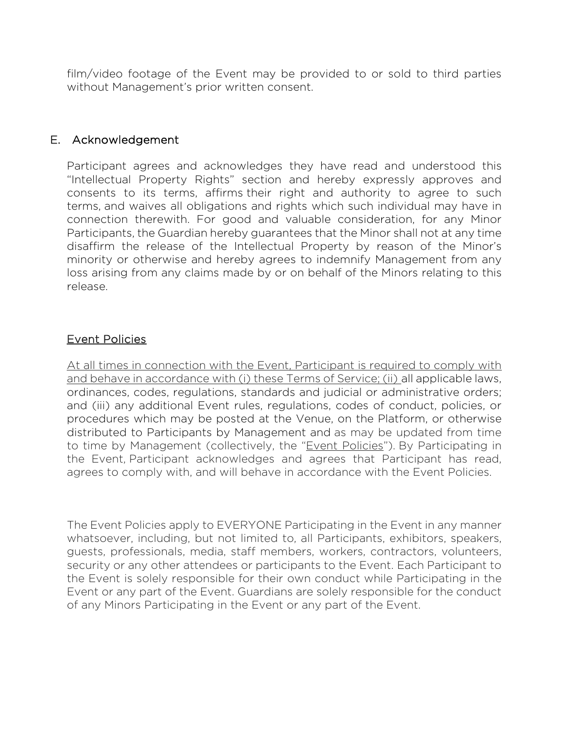film/video footage of the Event may be provided to or sold to third parties without Management's prior written consent.

## E.Acknowledgement

Participant agrees and acknowledges they have read and understood this "Intellectual Property Rights" section and hereby expressly approves and consents to its terms, affirms their right and authority to agree to such terms, and waives all obligations and rights which such individual may have in connection therewith. For good and valuable consideration, for any Minor Participants, the Guardian hereby guarantees that the Minor shall not at any time disaffirm the release of the Intellectual Property by reason of the Minor's minority or otherwise and hereby agrees to indemnify Management from any loss arising from any claims made by or on behalf of the Minors relating to this release.

### Event Policies

At all times in connection with the Event, Participant is required to comply with and behave in accordance with (i) these Terms of Service; (ii) all applicable laws, ordinances, codes, regulations, standards and judicial or administrative orders; and (iii) any additional Event rules, regulations, codes of conduct, policies, or procedures which may be posted at the Venue, on the Platform, or otherwise distributed to Participants by Management and as may be updated from time to time by Management (collectively, the "Event Policies"). By Participating in the Event, Participant acknowledges and agrees that Participant has read, agrees to comply with, and will behave in accordance with the Event Policies.

The Event Policies apply to EVERYONE Participating in the Event in any manner whatsoever, including, but not limited to, all Participants, exhibitors, speakers, guests, professionals, media, staff members, workers, contractors, volunteers, security or any other attendees or participants to the Event. Each Participant to the Event is solely responsible for their own conduct while Participating in the Event or any part of the Event. Guardians are solely responsible for the conduct of any Minors Participating in the Event or any part of the Event.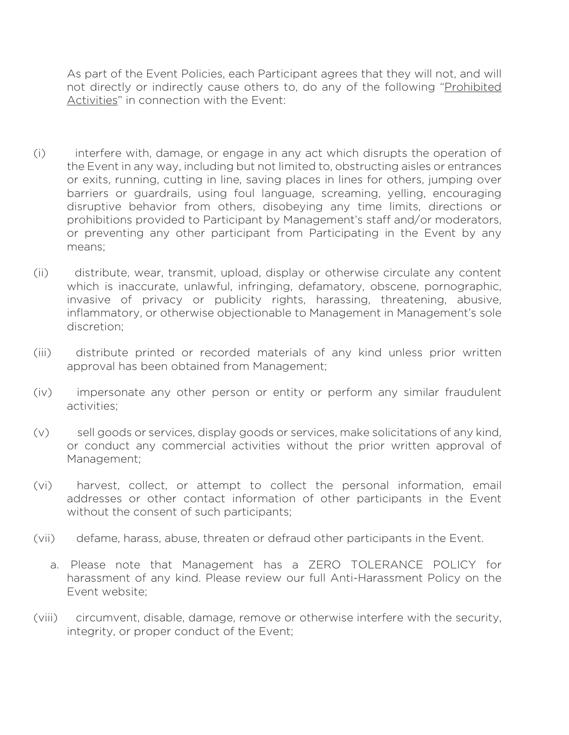As part of the Event Policies, each Participant agrees that they will not, and will not directly or indirectly cause others to, do any of the following "Prohibited Activities" in connection with the Event:

- (i) interfere with, damage, or engage in any act which disrupts the operation of the Event in any way, including but not limited to, obstructing aisles or entrances or exits, running, cutting in line, saving places in lines for others, jumping over barriers or guardrails, using foul language, screaming, yelling, encouraging disruptive behavior from others, disobeying any time limits, directions or prohibitions provided to Participant by Management's staff and/or moderators, or preventing any other participant from Participating in the Event by any means;
- (ii) distribute, wear, transmit, upload, display or otherwise circulate any content which is inaccurate, unlawful, infringing, defamatory, obscene, pornographic, invasive of privacy or publicity rights, harassing, threatening, abusive, inflammatory, or otherwise objectionable to Management in Management's sole discretion;
- (iii) distribute printed or recorded materials of any kind unless prior written approval has been obtained from Management;
- (iv) impersonate any other person or entity or perform any similar fraudulent activities;
- (v) sell goods or services, display goods or services, make solicitations of any kind, or conduct any commercial activities without the prior written approval of Management;
- (vi) harvest, collect, or attempt to collect the personal information, email addresses or other contact information of other participants in the Event without the consent of such participants;
- (vii) defame, harass, abuse, threaten or defraud other participants in the Event.
	- a. Please note that Management has a ZERO TOLERANCE POLICY for harassment of any kind. Please review our full Anti-Harassment Policy on the Event website;
- (viii) circumvent, disable, damage, remove or otherwise interfere with the security, integrity, or proper conduct of the Event;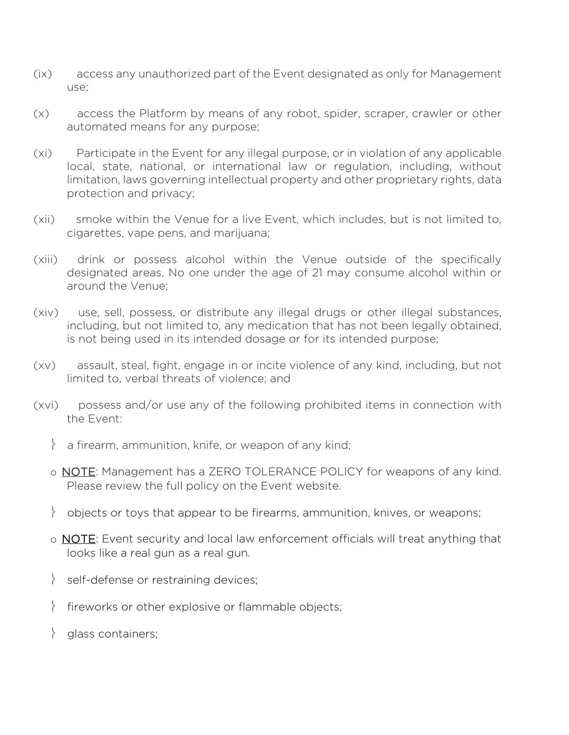- (ix) access any unauthorized part of the Event designated as only for Management use;
- (x) access the Platform by means of any robot, spider, scraper, crawler or other automated means for any purpose;
- (xi) Participate in the Event for any illegal purpose, or in violation of any applicable local, state, national, or international law or regulation, including, without limitation, laws governing intellectual property and other proprietary rights, data protection and privacy;
- (xii) smoke within the Venue for a live Event, which includes, but is not limited to, cigarettes, vape pens, and marijuana;
- (xiii) drink or possess alcohol within the Venue outside of the specifically designated areas. No one under the age of 21 may consume alcohol within or around the Venue;
- (xiv) use, sell, possess, or distribute any illegal drugs or other illegal substances, including, but not limited to, any medication that has not been legally obtained, is not being used in its intended dosage or for its intended purpose;
- (xv) assault, steal, fight, engage in or incite violence of any kind, including, but not limited to, verbal threats of violence; and
- (xvi) possess and/or use any of the following prohibited items in connection with the Event:
	- $\}$  a firearm, ammunition, knife, or weapon of any kind;
	- o NOTE: Management has a ZERO TOLERANCE POLICY for weapons of any kind. Please review the full policy on the Event website.
	- $\}$  objects or toys that appear to be firearms, ammunition, knives, or weapons;
	- o NOTE: Event security and local law enforcement officials will treat anything that looks like a real gun as a real gun.
	- self-defense or restraining devices;
	- $\}$  fireworks or other explosive or flammable objects;
	- alass containers;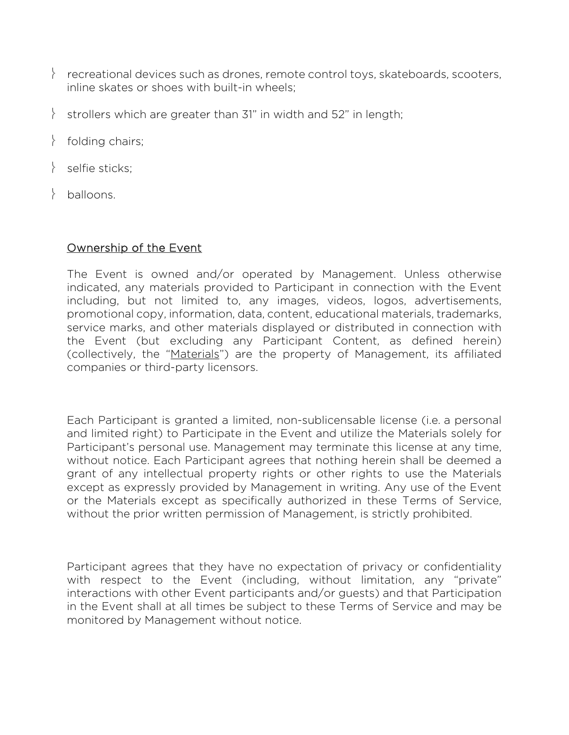- $\}$  recreational devices such as drones, remote control toys, skateboards, scooters, inline skates or shoes with built-in wheels;
- $\frac{1}{2}$  strollers which are greater than 31" in width and 52" in length;
- folding chairs;
- selfie sticks;
- > balloons.

### Ownership of the Event

The Event is owned and/or operated by Management. Unless otherwise indicated, any materials provided to Participant in connection with the Event including, but not limited to, any images, videos, logos, advertisements, promotional copy, information, data, content, educational materials, trademarks, service marks, and other materials displayed or distributed in connection with the Event (but excluding any Participant Content, as defined herein) (collectively, the "Materials") are the property of Management, its affiliated companies or third-party licensors.

Each Participant is granted a limited, non-sublicensable license (i.e. a personal and limited right) to Participate in the Event and utilize the Materials solely for Participant's personal use. Management may terminate this license at any time, without notice. Each Participant agrees that nothing herein shall be deemed a grant of any intellectual property rights or other rights to use the Materials except as expressly provided by Management in writing. Any use of the Event or the Materials except as specifically authorized in these Terms of Service, without the prior written permission of Management, is strictly prohibited.

Participant agrees that they have no expectation of privacy or confidentiality with respect to the Event (including, without limitation, any "private" interactions with other Event participants and/or guests) and that Participation in the Event shall at all times be subject to these Terms of Service and may be monitored by Management without notice.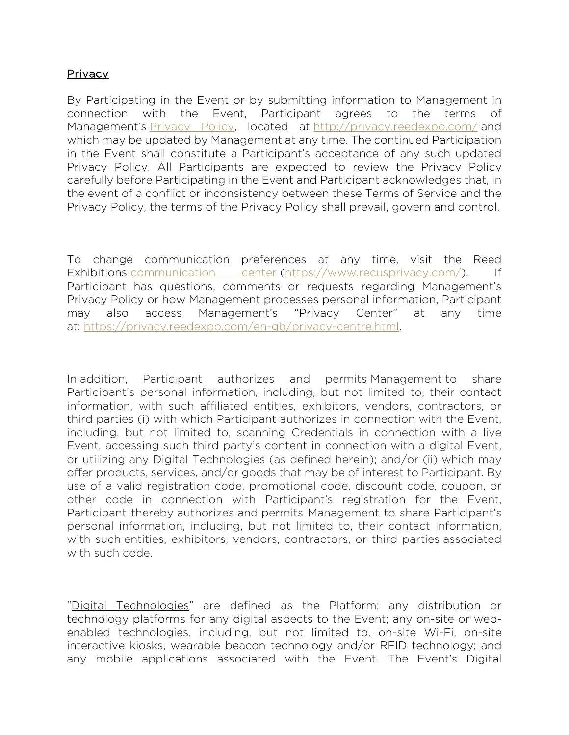### **Privacy**

By Participating in the Event or by submitting information to Management in connection with the Event, Participant agrees to the terms of Management's [Privacy Policy,](https://privacy.reedexpo.com/en-us.html) located at [http://privacy.reedexpo.com/](http://privacy.reedexpo.com/en-us.html) and which may be updated by Management at any time. The continued Participation in the Event shall constitute a Participant's acceptance of any such updated Privacy Policy. All Participants are expected to review the Privacy Policy carefully before Participating in the Event and Participant acknowledges that, in the event of a conflict or inconsistency between these Terms of Service and the Privacy Policy, the terms of the Privacy Policy shall prevail, govern and control.

To change communication preferences at any time, visit the Reed Exhibitions [communication center \(https://www.recusprivacy.com/\)](https://www.recusprivacy.com/). If Participant has questions, comments or requests regarding Management's Privacy Policy or how Management processes personal information, Participant may also access Management's "Privacy Center" at any time at: [https://privacy.reedexpo.com/en-gb/privacy-centre.html.](https://privacy.reedexpo.com/en-gb/privacy-centre.html)

In addition, Participant authorizes and permits Management to share Participant's personal information, including, but not limited to, their contact information, with such affiliated entities, exhibitors, vendors, contractors, or third parties (i) with which Participant authorizes in connection with the Event, including, but not limited to, scanning Credentials in connection with a live Event, accessing such third party's content in connection with a digital Event, or utilizing any Digital Technologies (as defined herein); and/or (ii) which may offer products, services, and/or goods that may be of interest to Participant. By use of a valid registration code, promotional code, discount code, coupon, or other code in connection with Participant's registration for the Event, Participant thereby authorizes and permits Management to share Participant's personal information, including, but not limited to, their contact information, with such entities, exhibitors, vendors, contractors, or third parties associated with such code.

"Digital Technologies" are defined as the Platform; any distribution or technology platforms for any digital aspects to the Event; any on-site or webenabled technologies, including, but not limited to, on-site Wi-Fi, on-site interactive kiosks, wearable beacon technology and/or RFID technology; and any mobile applications associated with the Event. The Event's Digital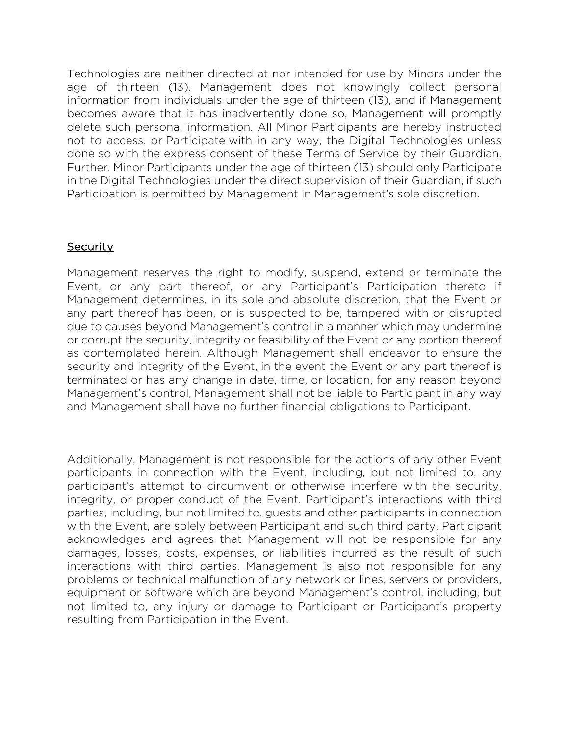Technologies are neither directed at nor intended for use by Minors under the age of thirteen (13). Management does not knowingly collect personal information from individuals under the age of thirteen (13), and if Management becomes aware that it has inadvertently done so, Management will promptly delete such personal information. All Minor Participants are hereby instructed not to access, or Participate with in any way, the Digital Technologies unless done so with the express consent of these Terms of Service by their Guardian. Further, Minor Participants under the age of thirteen (13) should only Participate in the Digital Technologies under the direct supervision of their Guardian, if such Participation is permitted by Management in Management's sole discretion.

### **Security**

Management reserves the right to modify, suspend, extend or terminate the Event, or any part thereof, or any Participant's Participation thereto if Management determines, in its sole and absolute discretion, that the Event or any part thereof has been, or is suspected to be, tampered with or disrupted due to causes beyond Management's control in a manner which may undermine or corrupt the security, integrity or feasibility of the Event or any portion thereof as contemplated herein. Although Management shall endeavor to ensure the security and integrity of the Event, in the event the Event or any part thereof is terminated or has any change in date, time, or location, for any reason beyond Management's control, Management shall not be liable to Participant in any way and Management shall have no further financial obligations to Participant.

Additionally, Management is not responsible for the actions of any other Event participants in connection with the Event, including, but not limited to, any participant's attempt to circumvent or otherwise interfere with the security, integrity, or proper conduct of the Event. Participant's interactions with third parties, including, but not limited to, guests and other participants in connection with the Event, are solely between Participant and such third party. Participant acknowledges and agrees that Management will not be responsible for any damages, losses, costs, expenses, or liabilities incurred as the result of such interactions with third parties. Management is also not responsible for any problems or technical malfunction of any network or lines, servers or providers, equipment or software which are beyond Management's control, including, but not limited to, any injury or damage to Participant or Participant's property resulting from Participation in the Event.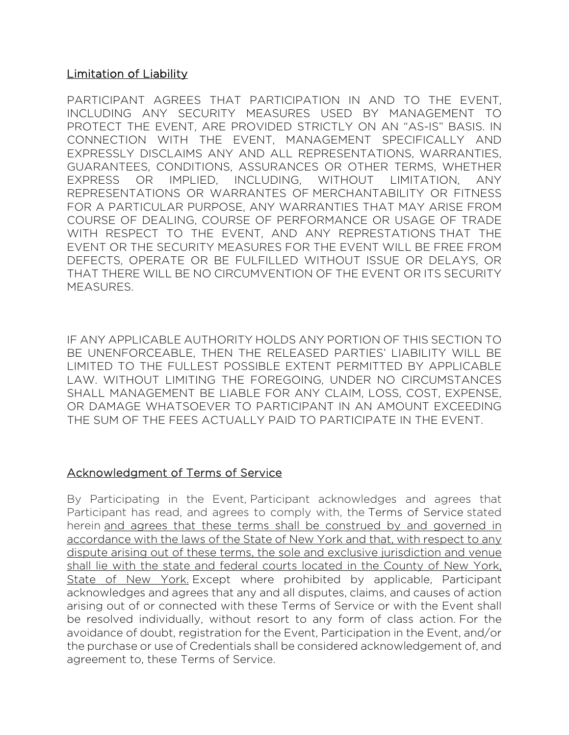### Limitation of Liability

PARTICIPANT AGREES THAT PARTICIPATION IN AND TO THE EVENT, INCLUDING ANY SECURITY MEASURES USED BY MANAGEMENT TO PROTECT THE EVENT, ARE PROVIDED STRICTLY ON AN "AS-IS" BASIS. IN CONNECTION WITH THE EVENT, MANAGEMENT SPECIFICALLY AND EXPRESSLY DISCLAIMS ANY AND ALL REPRESENTATIONS, WARRANTIES, GUARANTEES, CONDITIONS, ASSURANCES OR OTHER TERMS, WHETHER EXPRESS OR IMPLIED, INCLUDING, WITHOUT LIMITATION, ANY REPRESENTATIONS OR WARRANTES OF MERCHANTABILITY OR FITNESS FOR A PARTICULAR PURPOSE, ANY WARRANTIES THAT MAY ARISE FROM COURSE OF DEALING, COURSE OF PERFORMANCE OR USAGE OF TRADE WITH RESPECT TO THE EVENT, AND ANY REPRESTATIONS THAT THE EVENT OR THE SECURITY MEASURES FOR THE EVENT WILL BE FREE FROM DEFECTS, OPERATE OR BE FULFILLED WITHOUT ISSUE OR DELAYS, OR THAT THERE WILL BE NO CIRCUMVENTION OF THE EVENT OR ITS SECURITY MEASURES.

IF ANY APPLICABLE AUTHORITY HOLDS ANY PORTION OF THIS SECTION TO BE UNENFORCEABLE, THEN THE RELEASED PARTIES' LIABILITY WILL BE LIMITED TO THE FULLEST POSSIBLE EXTENT PERMITTED BY APPLICABLE LAW. WITHOUT LIMITING THE FOREGOING, UNDER NO CIRCUMSTANCES SHALL MANAGEMENT BE LIABLE FOR ANY CLAIM, LOSS, COST, EXPENSE, OR DAMAGE WHATSOEVER TO PARTICIPANT IN AN AMOUNT EXCEEDING THE SUM OF THE FEES ACTUALLY PAID TO PARTICIPATE IN THE EVENT.

# Acknowledgment of Terms of Service

By Participating in the Event, Participant acknowledges and agrees that Participant has read, and agrees to comply with, the Terms of Service stated herein and agrees that these terms shall be construed by and governed in accordance with the laws of the State of New York and that, with respect to any dispute arising out of these terms, the sole and exclusive jurisdiction and venue shall lie with the state and federal courts located in the County of New York, State of New York. Except where prohibited by applicable, Participant acknowledges and agrees that any and all disputes, claims, and causes of action arising out of or connected with these Terms of Service or with the Event shall be resolved individually, without resort to any form of class action. For the avoidance of doubt, registration for the Event, Participation in the Event, and/or the purchase or use of Credentials shall be considered acknowledgement of, and agreement to, these Terms of Service.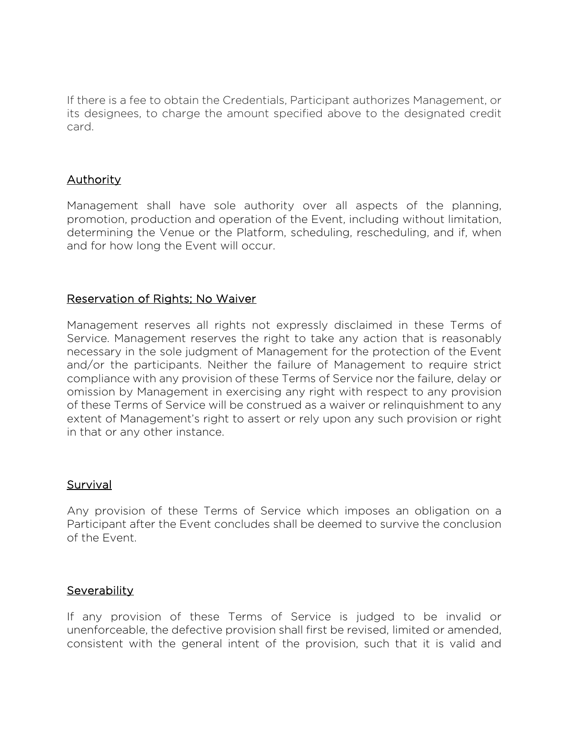If there is a fee to obtain the Credentials, Participant authorizes Management, or its designees, to charge the amount specified above to the designated credit card.

## Authority

Management shall have sole authority over all aspects of the planning, promotion, production and operation of the Event, including without limitation, determining the Venue or the Platform, scheduling, rescheduling, and if, when and for how long the Event will occur.

### Reservation of Rights; No Waiver

Management reserves all rights not expressly disclaimed in these Terms of Service. Management reserves the right to take any action that is reasonably necessary in the sole judgment of Management for the protection of the Event and/or the participants. Neither the failure of Management to require strict compliance with any provision of these Terms of Service nor the failure, delay or omission by Management in exercising any right with respect to any provision of these Terms of Service will be construed as a waiver or relinquishment to any extent of Management's right to assert or rely upon any such provision or right in that or any other instance.

### Survival

Any provision of these Terms of Service which imposes an obligation on a Participant after the Event concludes shall be deemed to survive the conclusion of the Event.

### **Severability**

If any provision of these Terms of Service is judged to be invalid or unenforceable, the defective provision shall first be revised, limited or amended, consistent with the general intent of the provision, such that it is valid and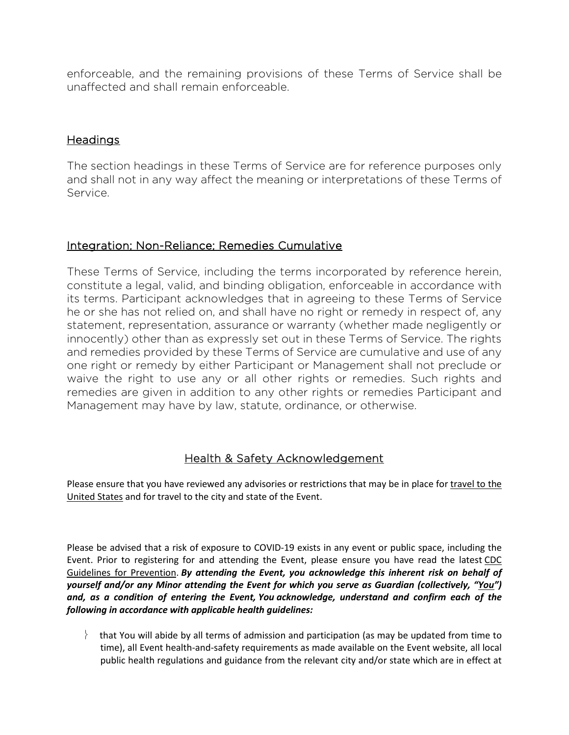enforceable, and the remaining provisions of these Terms of Service shall be unaffected and shall remain enforceable.

### Headings

The section headings in these Terms of Service are for reference purposes only and shall not in any way affect the meaning or interpretations of these Terms of Service.

#### Integration; Non-Reliance; Remedies Cumulative

These Terms of Service, including the terms incorporated by reference herein, constitute a legal, valid, and binding obligation, enforceable in accordance with its terms. Participant acknowledges that in agreeing to these Terms of Service he or she has not relied on, and shall have no right or remedy in respect of, any statement, representation, assurance or warranty (whether made negligently or innocently) other than as expressly set out in these Terms of Service. The rights and remedies provided by these Terms of Service are cumulative and use of any one right or remedy by either Participant or Management shall not preclude or waive the right to use any or all other rights or remedies. Such rights and remedies are given in addition to any other rights or remedies Participant and Management may have by law, statute, ordinance, or otherwise.

### Health & Safety Acknowledgement

Please ensure that you have reviewed any advisories or restrictions that may be in place for [travel to the](https://travel.state.gov/content/travel/en/traveladvisories/ea/covid-19-information.html)  [United States](https://travel.state.gov/content/travel/en/traveladvisories/ea/covid-19-information.html) and for travel to the city and state of the Event.

Please be advised that a risk of exposure to COVID-19 exists in any event or public space, including the Event. Prior to registering for and attending the Event, please ensure you have read the latest [CDC](https://www.cdc.gov/coronavirus/2019-ncov/prevent-getting-sick/prevention.html)  [Guidelines for Prevention.](https://www.cdc.gov/coronavirus/2019-ncov/prevent-getting-sick/prevention.html) *By attending the Event, you acknowledge this inherent risk on behalf of yourself and/or any Minor attending the Event for which you serve as Guardian (collectively, "You") and, as a condition of entering the Event, You acknowledge, understand and confirm each of the following in accordance with applicable health guidelines:*

that You will abide by all terms of admission and participation (as may be updated from time to time), all Event health-and-safety requirements as made available on the Event website, all local public health regulations and guidance from the relevant city and/or state which are in effect at